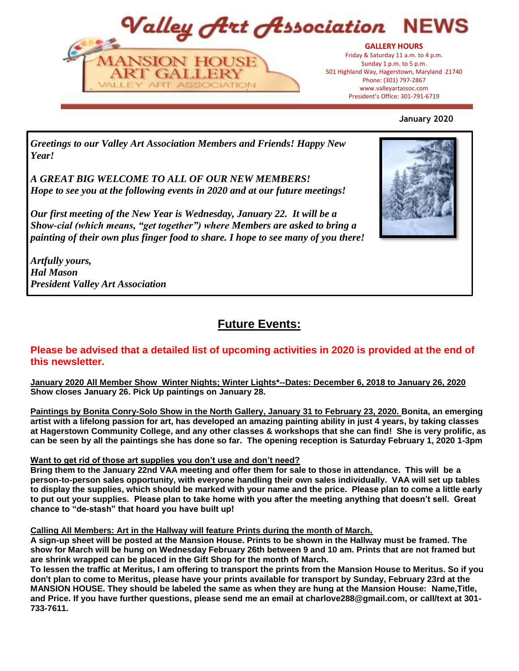Valley Art Association NFW



President's Office: 301-797-6719 President's Office: 301-791-6719**GALLERY HOURS** Friday & Saturday 11 a.m. to 4 p.m. Sunday 1 p.m. to 5 p.m. 501 Highland Way, Hagerstown, Maryland 21740 Phone: (301) 797-2867 www.valleyartassoc.com



*Greetings to our Valley Art Association Members and Friends! Happy New Year!* 

*A GREAT BIG WELCOME TO ALL OF OUR NEW MEMBERS! Hope to see you at the following events in 2020 and at our future meetings!*

*Our first meeting of the New Year is Wednesday, January 22. It will be a Show-cial (which means, "get together") where Members are asked to bring a painting of their own plus finger food to share. I hope to see many of you there!*

*Artfully yours, Hal Mason President Valley Art Association* 



# **Future Events:**

### **Please be advised that a detailed list of upcoming activities in 2020 is provided at the end of this newsletter.**

**January 2020 All Member Show Winter Nights; Winter Lights\*--Dates: December 6, 2018 to January 26, 2020 Show closes January 26. Pick Up paintings on January 28.**

**Paintings by Bonita Conry-Solo Show in the North Gallery, January 31 to February 23, 2020. Bonita, an emerging artist with a lifelong passion for art, has developed an amazing painting ability in just 4 years, by taking classes at Hagerstown Community College, and any other classes & workshops that she can find! She is very prolific, as can be seen by all the paintings she has done so far. The opening reception is Saturday February 1, 2020 1-3pm**

### **Want to get rid of those art supplies you don't use and don't need?**

**Bring them to the January 22nd VAA meeting and offer them for sale to those in attendance. This will be a person-to-person sales opportunity, with everyone handling their own sales individually. VAA will set up tables to display the supplies, which should be marked with your name and the price. Please plan to come a little early to put out your supplies. Please plan to take home with you after the meeting anything that doesn't sell. Great chance to "de-stash" that hoard you have built up!**

#### **Calling All Members: Art in the Hallway will feature Prints during the month of March.**

**A sign-up sheet will be posted at the Mansion House. Prints to be shown in the Hallway must be framed. The show for March will be hung on Wednesday February 26th between 9 and 10 am. Prints that are not framed but are shrink wrapped can be placed in the Gift Shop for the month of March.**

**To lessen the traffic at Meritus, I am offering to transport the prints from the Mansion House to Meritus. So if you don't plan to come to Meritus, please have your prints available for transport by Sunday, February 23rd at the MANSION HOUSE. They should be labeled the same as when they are hung at the Mansion House: Name,Title, and Price. If you have further questions, please send me an email at charlove288@gmail.com, or call/text at 301- 733-7611.**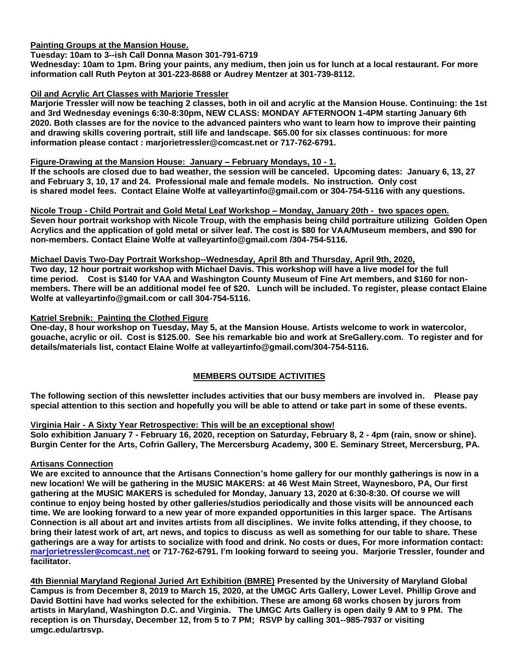**Painting Groups at the Mansion House.**

#### **Tuesday: 10am to 3--ish Call Donna Mason 301-791-6719**

**Wednesday: 10am to 1pm. Bring your paints, any medium, then join us for lunch at a local restaurant. For more information call Ruth Peyton at 301-223-8688 or Audrey Mentzer at 301-739-8112.**

#### **Oil and Acrylic Art Classes with Marjorie Tressler**

**Marjorie Tressler will now be teaching 2 classes, both in oil and acrylic at the Mansion House. Continuing: the 1st and 3rd Wednesday evenings 6:30-8:30pm, NEW CLASS: MONDAY AFTERNOON 1-4PM starting January 6th 2020. Both classes are for the novice to the advanced painters who want to learn how to improve their painting and drawing skills covering portrait, still life and landscape. \$65.00 for six classes continuous: for more information please contact : marjorietressler@comcast.net or 717-762-6791.**

#### **Figure-Drawing at the Mansion House: January – February Mondays, 10 - 1.**

**If the schools are closed due to bad weather, the session will be canceled. Upcoming dates: January 6, 13, 27 and February 3, 10, 17 and 24. Professional male and female models. No instruction. Only cost is shared model fees. Contact Elaine Wolfe at valleyartinfo@gmail.com or 304-754-5116 with any questions.**

**Nicole Troup - Child Portrait and Gold Metal Leaf Workshop – Monday, January 20th - two spaces open. Seven hour portrait workshop with Nicole Troup, with the emphasis being child portraiture utilizing Golden Open Acrylics and the application of gold metal or silver leaf. The cost is \$80 for VAA/Museum members, and \$90 for non-members. Contact Elaine Wolfe at valleyartinfo@gmail.com /304-754-5116.**

#### **Michael Davis Two-Day Portrait Workshop--Wednesday, April 8th and Thursday, April 9th, 2020,**

**Two day, 12 hour portrait workshop with Michael Davis. This workshop will have a live model for the full time period. Cost is \$140 for VAA and Washington County Museum of Fine Art members, and \$160 for nonmembers. There will be an additional model fee of \$20. Lunch will be included. To register, please contact Elaine Wolfe at valleyartinfo@gmail.com or call 304-754-5116.** 

#### **Katriel Srebnik: Painting the Clothed Figure**

**One-day, 8 hour workshop on Tuesday, May 5, at the Mansion House. Artists welcome to work in watercolor, gouache, acrylic or oil. Cost is \$125.00. See his remarkable bio and work at SreGallery.com. To register and for details/materials list, contact Elaine Wolfe at valleyartinfo@gmail.com/304-754-5116.** 

#### **MEMBERS OUTSIDE ACTIVITIES**

**The following section of this newsletter includes activities that our busy members are involved in. Please pay special attention to this section and hopefully you will be able to attend or take part in some of these events.**

#### **Virginia Hair - A Sixty Year Retrospective: This will be an exceptional show!**

**Solo exhibition January 7 - February 16, 2020, reception on Saturday, February 8, 2 - 4pm (rain, snow or shine). Burgin Center for the Arts, Cofrin Gallery, The Mercersburg Academy, 300 E. Seminary Street, Mercersburg, PA.**

#### **Artisans Connection**

**We are excited to announce that the Artisans Connection's home gallery for our monthly gatherings is now in a new location! We will be gathering in the MUSIC MAKERS: at 46 West Main Street, Waynesboro, PA, Our first gathering at the MUSIC MAKERS is scheduled for Monday, January 13, 2020 at 6:30-8:30. Of course we will continue to enjoy being hosted by other galleries/studios periodically and those visits will be announced each time. We are looking forward to a new year of more expanded opportunities in this larger space. The Artisans Connection is all about art and invites artists from all disciplines. We invite folks attending, if they choose, to bring their latest work of art, art news, and topics to discuss as well as something for our table to share. These gatherings are a way for artists to socialize with food and drink. No costs or dues, For more information contact: marjorietressler@comcast.net or 717-762-6791. I'm looking forward to seeing you. Marjorie Tressler, founder and facilitator.**

**4th Biennial Maryland Regional Juried Art Exhibition (BMRE) Presented by the University of Maryland Global Campus is from December 8, 2019 to March 15, 2020, at the UMGC Arts Gallery, Lower Level. Phillip Grove and David Bottini have had works selected for the exhibition. These are among 68 works chosen by jurors from artists in Maryland, Washington D.C. and Virginia. The UMGC Arts Gallery is open daily 9 AM to 9 PM. The reception is on Thursday, December 12, from 5 to 7 PM; RSVP by calling 301--985-7937 or visiting umgc.edu/artrsvp.**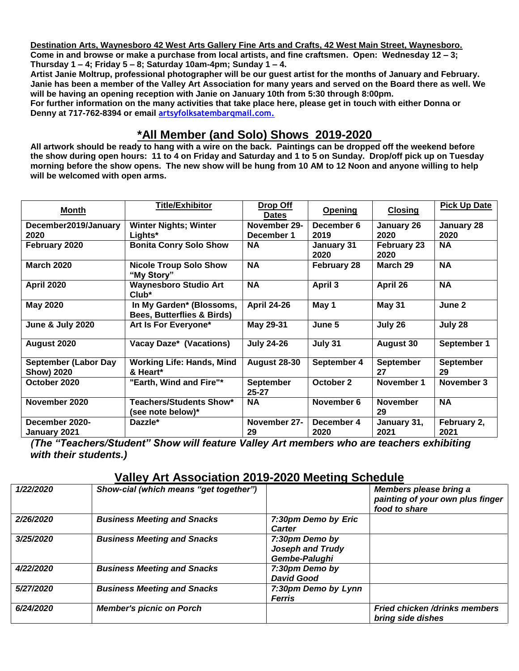**Destination Arts, Waynesboro 42 West Arts Gallery Fine Arts and Crafts, 42 West Main Street, Waynesboro. Come in and browse or make a purchase from local artists, and fine craftsmen. Open: Wednesday 12 – 3; Thursday 1 – 4; Friday 5 – 8; Saturday 10am-4pm; Sunday 1 – 4.**

**Artist Janie Moltrup, professional photographer will be our guest artist for the months of January and February. Janie has been a member of the Valley Art Association for many years and served on the Board there as well. We will be having an opening reception with Janie on January 10th from 5:30 through 8:00pm.** 

**For further information on the many activities that take place here, please get in touch with either Donna or Denny at 717-762-8394 or email artsyfolksatembarqmail.com.**

## **\*All Member (and Solo) Shows 2019-2020**

**All artwork should be ready to hang with a wire on the back. Paintings can be dropped off the weekend before the show during open hours: 11 to 4 on Friday and Saturday and 1 to 5 on Sunday. Drop/off pick up on Tuesday morning before the show opens. The new show will be hung from 10 AM to 12 Noon and anyone willing to help will be welcomed with open arms.** 

| <b>Month</b>                                     | <b>Title/Exhibitor</b>                                            | Drop Off<br><b>Dates</b> | <b>Opening</b>     | <b>Closing</b>             | <b>Pick Up Date</b>    |
|--------------------------------------------------|-------------------------------------------------------------------|--------------------------|--------------------|----------------------------|------------------------|
| December2019/January                             | <b>Winter Nights; Winter</b>                                      | November 29-             | December 6         | January 26                 | January 28             |
| 2020                                             | Lights*                                                           | December 1               | 2019               | 2020                       | 2020                   |
| February 2020                                    | <b>Bonita Conry Solo Show</b>                                     | <b>NA</b>                | January 31<br>2020 | <b>February 23</b><br>2020 | <b>NA</b>              |
| <b>March 2020</b>                                | <b>Nicole Troup Solo Show</b><br>"My Story"                       | <b>NA</b>                | <b>February 28</b> | March 29                   | <b>NA</b>              |
| <b>April 2020</b>                                | <b>Waynesboro Studio Art</b><br>$Club^*$                          | <b>NA</b>                | April 3            | April 26                   | <b>NA</b>              |
| <b>May 2020</b>                                  | In My Garden* (Blossoms,<br><b>Bees, Butterflies &amp; Birds)</b> | <b>April 24-26</b>       | May 1              | <b>May 31</b>              | June 2                 |
| <b>June &amp; July 2020</b>                      | Art Is For Everyone*                                              | May 29-31                | June 5             | July 26                    | July 28                |
| August 2020                                      | Vacay Daze* (Vacations)                                           | <b>July 24-26</b>        | July 31            | <b>August 30</b>           | September 1            |
| <b>September (Labor Day</b><br><b>Show) 2020</b> | <b>Working Life: Hands, Mind</b><br>& Heart*                      | <b>August 28-30</b>      | September 4        | <b>September</b><br>27     | <b>September</b><br>29 |
| October 2020                                     | "Earth, Wind and Fire"*                                           | September<br>$25 - 27$   | October 2          | November 1                 | November 3             |
| November 2020                                    | <b>Teachers/Students Show*</b><br>(see note below)*               | <b>NA</b>                | November 6         | <b>November</b><br>29      | <b>NA</b>              |
| December 2020-<br>January 2021                   | Dazzle*                                                           | November 27-<br>29       | December 4<br>2020 | January 31,<br>2021        | February 2,<br>2021    |

*(The "Teachers/Student" Show will feature Valley Art members who are teachers exhibiting with their students.)* 

## **Valley Art Association 2019-2020 Meeting Schedule**

| 1/22/2020 | Show-cial (which means "get together") |                                                     | Members please bring a<br>painting of your own plus finger<br>food to share |
|-----------|----------------------------------------|-----------------------------------------------------|-----------------------------------------------------------------------------|
| 2/26/2020 | <b>Business Meeting and Snacks</b>     | 7:30pm Demo by Eric<br><b>Carter</b>                |                                                                             |
| 3/25/2020 | <b>Business Meeting and Snacks</b>     | 7:30pm Demo by<br>Joseph and Trudy<br>Gembe-Palughi |                                                                             |
| 4/22/2020 | <b>Business Meeting and Snacks</b>     | 7:30pm Demo by<br><b>David Good</b>                 |                                                                             |
| 5/27/2020 | <b>Business Meeting and Snacks</b>     | 7:30pm Demo by Lynn<br><b>Ferris</b>                |                                                                             |
| 6/24/2020 | <b>Member's picnic on Porch</b>        |                                                     | <b>Fried chicken /drinks members</b><br>bring side dishes                   |